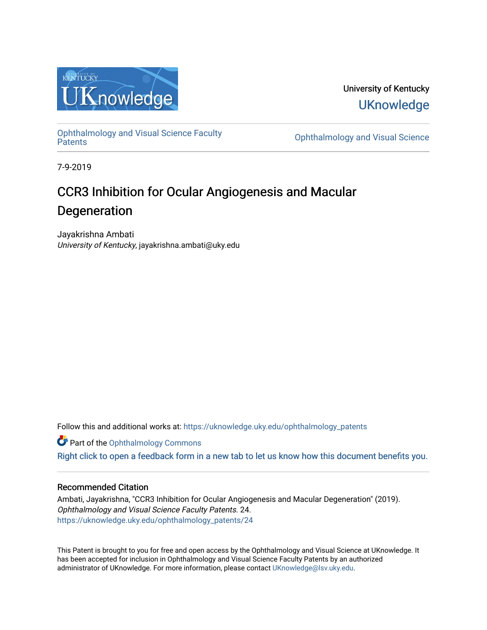

University of Kentucky **UKnowledge** 

[Ophthalmology and Visual Science Faculty](https://uknowledge.uky.edu/ophthalmology_patents)

**Ophthalmology and Visual Science** 

7-9-2019

# CCR3 Inhibition for Ocular Angiogenesis and Macular Degeneration

Jayakrishna Ambati University of Kentucky, jayakrishna.ambati@uky.edu

Follow this and additional works at: [https://uknowledge.uky.edu/ophthalmology\\_patents](https://uknowledge.uky.edu/ophthalmology_patents?utm_source=uknowledge.uky.edu%2Fophthalmology_patents%2F24&utm_medium=PDF&utm_campaign=PDFCoverPages) 

**Part of the [Ophthalmology Commons](http://network.bepress.com/hgg/discipline/695?utm_source=uknowledge.uky.edu%2Fophthalmology_patents%2F24&utm_medium=PDF&utm_campaign=PDFCoverPages)** 

[Right click to open a feedback form in a new tab to let us know how this document benefits you.](https://uky.az1.qualtrics.com/jfe/form/SV_9mq8fx2GnONRfz7)

### Recommended Citation

Ambati, Jayakrishna, "CCR3 Inhibition for Ocular Angiogenesis and Macular Degeneration" (2019). Ophthalmology and Visual Science Faculty Patents. 24. [https://uknowledge.uky.edu/ophthalmology\\_patents/24](https://uknowledge.uky.edu/ophthalmology_patents/24?utm_source=uknowledge.uky.edu%2Fophthalmology_patents%2F24&utm_medium=PDF&utm_campaign=PDFCoverPages)

This Patent is brought to you for free and open access by the Ophthalmology and Visual Science at UKnowledge. It has been accepted for inclusion in Ophthalmology and Visual Science Faculty Patents by an authorized administrator of UKnowledge. For more information, please contact [UKnowledge@lsv.uky.edu](mailto:UKnowledge@lsv.uky.edu).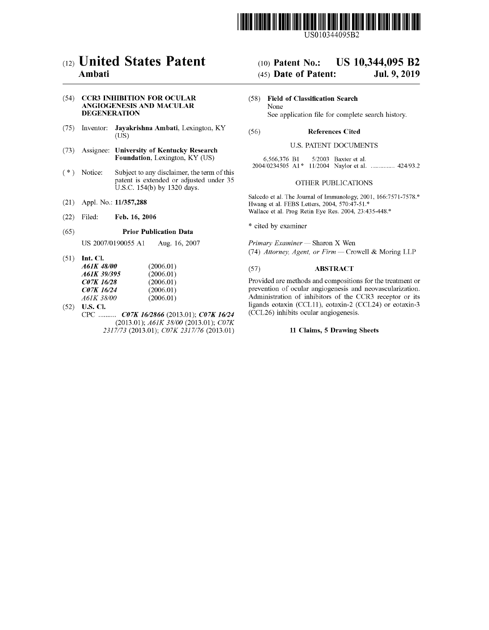

USO 10344095B2

## c12) **United States Patent**

### **Ambati**

#### (54) **CCR3 INHIBITION FOR OCULAR ANGIOGENESIS AND MACULAR DEGENERATION**

- (75) Inventor: **Jayakrishna Ambati,** Lexington, KY (US)
- (73) Assignee: **University of Kentucky Research Foundation,** Lexington, KY (US)
- $(*)$  Notice: Subject to any disclaimer, the term of this patent is extended or adjusted under 35 U.S.C. 154(b) by 1320 days.
- (21) Appl. No.: **11/357,288**
- (22) Filed: **Feb. 16, 2006**

#### (65) **Prior Publication Data**

US 2007/0190055 Al Aug. 16, 2007

(51) **Int. Cl.** 

| <i>A61K 48/00</i> | (2006.01) |
|-------------------|-----------|
| A61K 39/395       | (2006.01) |
| C07K 16/28        | (2006.01) |
| C07K 16/24        | (2006.01) |
| A61K 38/00        | (2006.01) |

(52) **U.S. Cl.**  CPC .......... *C07K 1612866* (2013.01); *C07K 16124*  (2013.01); *A61K 38/00* (2013.01); *C07K 2317/73* (2013.01); *C07K 2317/76* (2013.01)

# (IO) **Patent No.: US 10,344,095 B2**

### (45) **Date of Patent: Jul. 9, 2019**

(58) **Field of Classification Search**  None See application file for complete search history.

#### (56) **References Cited**

#### U.S. PATENT DOCUMENTS

| 6,566,376 B1                                     |  | $5/2003$ Baxter et al. |  |
|--------------------------------------------------|--|------------------------|--|
| 2004/0234505 A1* 11/2004 Naylor et al.  424/93.2 |  |                        |  |

#### OTHER PUBLICATIONS

Salcedo et al. The Journal of Immunology, 2001, 166:7571-7578.\* Hwang et al. FEBS Letters, 2004, 570:47-51.\* Wallace et al. Prog Retin Eye Res. 2004, 23:435-448.\*

\* cited by examiner

*Primary Examiner* - Sharon X Wen (74) *Attorney, Agent, or Firm* - Crowell & Moring LLP

#### (57) **ABSTRACT**

Provided are methods and compositions for the treatment or prevention of ocular angiogenesis and neovascularization. Administration of inhibitors of the CCR3 receptor or its ligands eotaxin (CCLII), eotaxin-2 (CCL24) or eotaxin-3 (CCL26) inhibits ocular angiogenesis.

#### **11 Claims, 5 Drawing Sheets**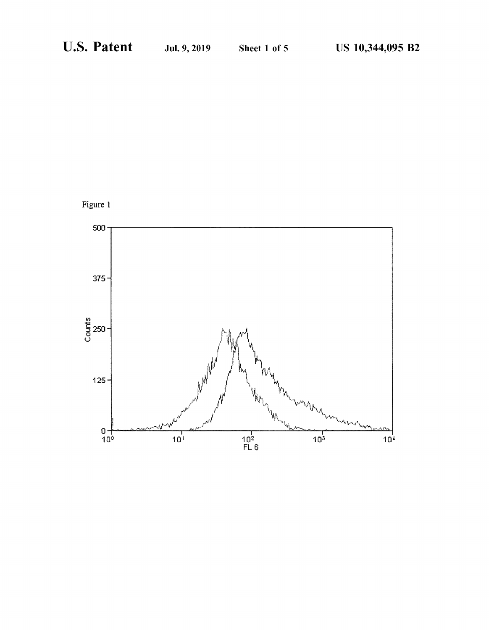

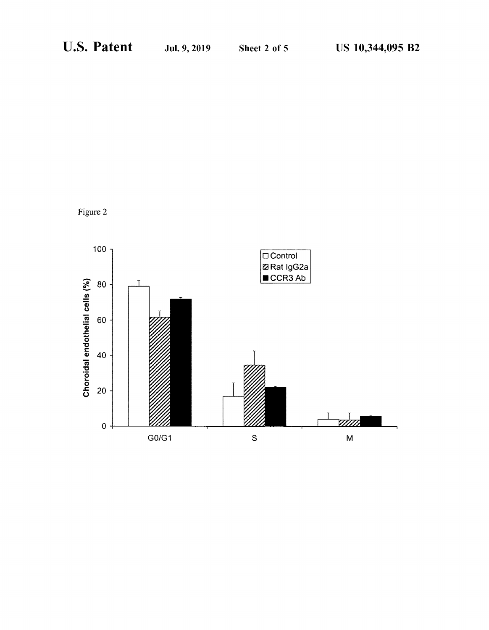Figure 2

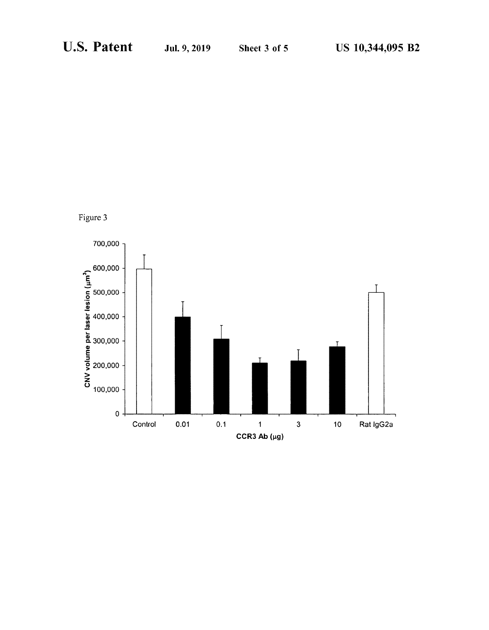Figure 3

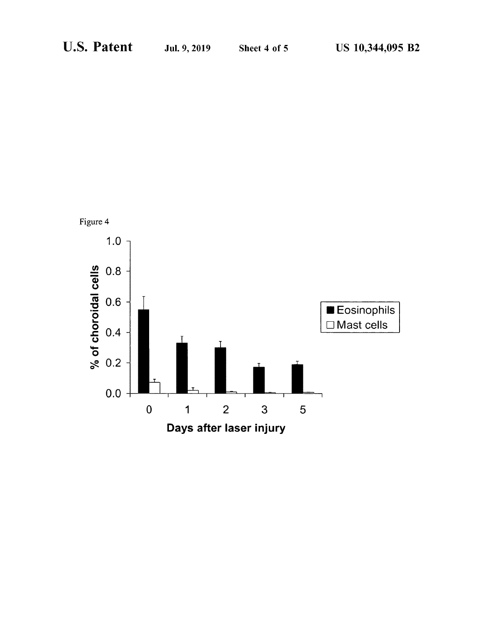

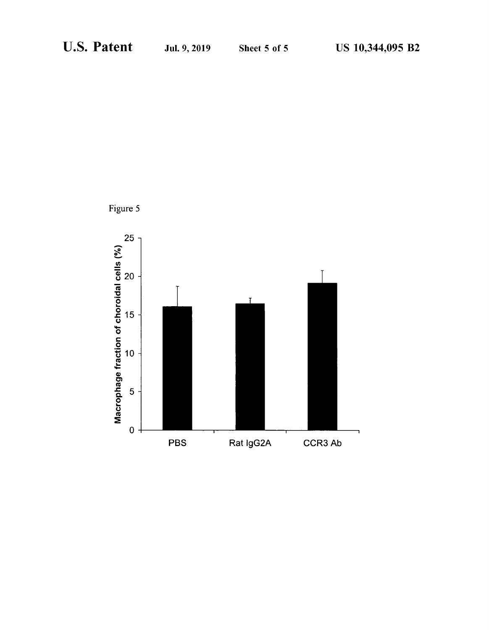

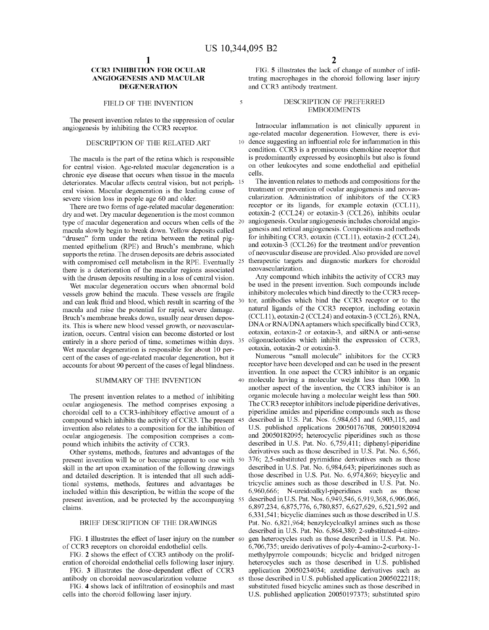5

### **CCR3 INHIBITION FOR OCULAR ANGIOGENESIS AND MACULAR DEGENERATION**

#### FIELD OF THE INVENTION

The present invention relates to the suppression of ocular angiogenesis by inhibiting the CCR3 receptor.

#### DESCRIPTION OF THE RELATED ART

The macula is the part of the retina which is responsible for central vision. Age-related macular degeneration is a chronic eye disease that occurs when tissue in the macula deteriorates. Macular affects central vision, but not periph- 15 eral vision. Macular degeneration is the leading cause of severe vision loss in people age 60 and older.

There are two forms of age-related macular degeneration: dry and wet. Dry macular degeneration is the most common type of macular degeneration and occurs when cells of the 20 macula slowly begin to break down. Yellow deposits called "drusen" form under the retina between the retinal pigmented epithelium (RPE) and Bruch's membrane, which supports the retina. The drusen deposits are debris associated with compromised cell metabolism in the RPE. Eventually 25 there is a deterioration of the macular regions associated with the drusen deposits resulting in a loss of central vision.

Wet macular degeneration occurs when abnormal bold vessels grow behind the macula. These vessels are fragile and can leak fluid and blood, which result in scarring of the 30 macula and raise the potential for rapid, severe damage. Bruch's membrane breaks down, usually near drusen depos- (CCL11), eotaxin-2 (CCL24) and eotaxin-3 (CCL26), RNA, its. This is where new blood vessel growth, or neovascularization, occurs. Central vision can become distorted or lost entirely in a shore period of time, sometimes within days. Wet macular degeneration is responsible for about 10 percent of the cases of age-related macular degeneration, but it accounts for about 90 percent of the cases of legal blindness.

#### SUMMARY OF THE INVENTION

The present invention relates to a method of inhibiting ocular angiogenesis. The method comprises exposing a choroidal cell to a CCR3-inhibitory effective amount of a compound which inhibits the activity of CCR3. The present 45 invention also relates to a composition for the inhibition of ocular angiogenesis. The composition comprises a compound which inhibits the activity of CCR3.

Other systems, methods, features and advantages of the present invention will be or become apparent to one with 50 skill in the art upon examination of the following drawings and detailed description. It is intended that all such additional systems, methods, features and advantages be included within this description, be within the scope of the present invention, and be protected by the accompanying 55 claims.

#### BRIEF DESCRIPTION OF THE DRAWINGS

FIG. 1 illustrates the effect of laser injury on the number 60 of CCR3 receptors on choroidal endothelial cells.

FIG. **2** shows the effect of CCR3 antibody on the proliferation of choroidal endothelial cells following laser injury.

FIG. **3** illustrates the dose-dependent effect of CCR3 antibody on choroidal neovascularization volume

FIG. **4** shows lack of infiltration of eosinophils and mast cells into the choroid following laser injury.

FIG. **5** illustrates the lack of change of number of infiltrating macrophages in the choroid following laser injury and CCR3 antibody treatment.

#### DESCRIPTION OF PREFERRED EMBODIMENTS

Intraocular inflammation is not clinically apparent in age-related macular degeneration. However, there is evi-10 dence suggesting an influential role for inflammation in this condition. CCR3 is a promiscuous chemokine receptor that is predominantly expressed by eosinophils but also is found on other leukocytes and some endothelial and epithelial cells.

The invention relates to methods and compositions for the treatment or prevention of ocular angiogenesis and neovascularization. Administration of inhibitors of the CCR3 receptor or its ligands, for example eotaxin (CCL11), eotaxin-2 (CCL24) or eotaxin-3 (CCL26), inhibits ocular angiogenesis. Ocular angiogenesis includes choroidal angiogenesis and retinal angiogenesis. Compositions and methods for inhibiting CCR3, eotaxin (CCLII), eotaxin-2 (CCL24), and eotaxin-3 (CCL26) for the treatment and/or prevention of neovascular disease are provided. Also provided are novel therapeutic targets and diagnostic markers for choroidal neovascularization.

Any compound which inhibits the activity of CCR3 may be used in the present invention. Such compounds include inhibitory molecules which bind directly to the CCR3 receptor, antibodies which bind the CCR3 receptor or to the natural ligands of the CCR3 receptor, including eotaxin DNA or RNA/DNA aptamers which specifically bind CCR3, eotaxin, eotaxin-2 or eotaxin-3, and siRNA or anti-sense oligonucleotides which inhibit the expression of CCR3, eotaxin, eotaxin-2 or eotaxin-3.

Numerous "small molecule" inhibitors for the CCR3 receptor have been developed and can be used in the present invention. In one aspect the CCR3 inhibitor is an organic 40 molecule having a molecular weight less than 1000. In another aspect of the invention, the CCR3 inhibitor is an organic molecule having a molecular weight less than 500. The CCR3 receptor inhibitors include piperidine derivatives, piperidine amides and piperidine compounds such as those 45 described in U.S. Pat. Nos. 6,984,651 and 6,903,115, and U.S. published applications 20050176708, 20050182094 and 20050182095; heterocyclic piperidines such as those described in U.S. Pat. No. 6,759,411; diphenyl-piperidine derivatives such as those described in U.S. Pat. No. 6,566, 376; 2,5-substituted pyrimidine derivatives such as those described in U.S. Pat. No. 6,984,643; piperizinones such as those described in U.S. Pat. No. 6,974,869; bicycylic and tricyclic amines such as those described in U.S. Pat. No. 6,960,666; N-ureidoalkyl-piperidines such as those 55 described in U.S. Pat. Nos. 6,949,546, 6,919,368, 6,906,066, 6,897,234, 6,875,776, 6,780,857, 6,627,629, 6,521,592 and 6,331,541; bicyclic diamines such as those described in U.S. Pat. No. 6,821,964; benzylcycloalkyl amines such as those described in U.S. Pat. No. 6,864,380; 2-substituted-4-nitrogen heterocycles such as those described in U.S. Pat. No. 6,706,735; ureido derivatives of poly-4-amino-2-carboxy-lmethylpyrrole compounds; bicyclic and bridged nitrogen heterocycles such as those described in U.S. published application 20050234034; azetidine derivatives such as 65 those described in U.S. published application 20050222118; substituted fused bicyclic amines such as those described in U.S. published application 20050197373; substituted spiro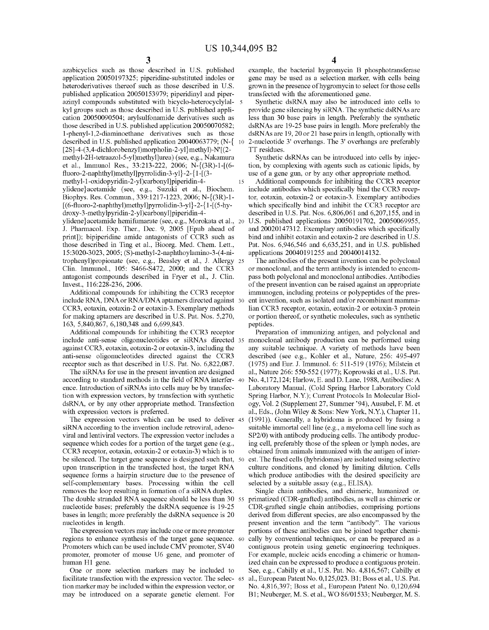azabicyclics such as those described in U.S. published application 20050197325; piperidine-substituted indoles or heteroderivatives thereof such as those described in U.S. published application 20050153979; piperidinyl and piperazinyl compounds substituted with bicyclo-heterocyclylal- 5 kyl groups such as those described in U.S. published application 20050090504; arylsulfonamide derivatives such as those described in U.S. published application 20050070582; l-phenyl-1,2-diaminoethane derivatives such as those described in U.S. published application 20040063779; (N-{ 10  $[2S]$ -4-(3,4-dichlorobenzyl)morpholin-2-yl}methyl)-N' $[(2$ methyl-2H-tetraazol-5-yl)methyl]urea) (see, e.g., Nakamura et al., Immunol Res., 33:213-222, 2006; N-{(3R)-1-[(6 fluoro-2-naphthyl)methyl]pyrrolidin-3-yl }-2-{ 1-[ (3 methyl-1-oxidopyridin-2-yl)carbonyl]piperidin-4- 15

ylidene}acetamide (see, e.g., Suzuki et al., Biochem. Biophys. Res. Commun., 339:1217-1223, 2006; N-{(3R)-1- [(6-fluoro-2-naphthyl)methyl]pyrrolidin-3-yl}-2-{1-[(5-hydroxy-3-methylpyridin-2-yl)carbonyl]piperidin-4-

ylidene}acetamide hemifumarate (see, e.g., Morokata et al., 20 J. Pharmacol. Exp. Ther., Dec. 9, 2005 [Epub ahead of print]); bipiperidine amide antagonists of CCR3 such as those described in Ting et al., Bioorg. Med. Chem. Lett., 15:3020-3023, 2005; (S)-methyl-2-naphthoylamino-3-( 4-nitrophenyl)propionate (see, e.g., Beasley et al., J. Allergy 25 Clin. Immunol., 105: S466-S472, 2000; and the CCR3 antagonist compounds described in Fryer et al., J. Clin. Invest., 116:228-236, 2006.

Additional compounds for inhibiting the CCR3 receptor include RNA, DNA or RNA/DNA aptamers directed against 30 CCR3, eotaxin, eotaxin-2 or eotaxin-3. Exemplary methods for making aptamers are described in U.S. Pat. Nos. 5,270, 163, 5,840,867, 6,180,348 and 6,699,843.

Additional compounds for inhibiting the CCR3 receptor include anti-sense oligonucleotides or siRNAs directed 35 against CCR3, eotaxin, eotaxin-2 or eotaxin-3, including the anti-sense oligonucleotides directed against the CCR3 receptor such as that described in U.S. Pat. No. 6,822,087.

The siRNAs for use in the present invention are designed according to standard methods in the field of RNA interfer- <sup>40</sup> ence. Introduction of siRNAs into cells may be by transfection with expression vectors, by transfection with synthetic dsRNA, or by any other appropriate method. Transfection with expression vectors is preferred.

The expression vectors which can be used to deliver 45 siRNA according to the invention include retroviral, adenoviral and lentiviral vectors. The expression vector includes a sequence which codes for a portion of the target gene (e.g., CCR3 receptor, eotaxin, eotaxin-2 or eotaxin-3) which is to be silenced. The target gene sequence is designed such that, 50 upon transcription in the transfected host, the target RNA sequence forms a hairpin structure due to the presence of self-complementary bases. Processing within the cell removes the loop resulting in formation of a siRNA duplex. The double stranded RNA sequence should be less than 30 55 nucleotide bases; preferably the dsRNA sequence is 19-25 bases in length; more preferably the dsRNA sequence is 20 nucleotides in length.

The expression vectors may include one or more promoter regions to enhance synthesis of the target gene sequence. 60 Promoters which can be used include CMV promoter, SV40 promoter, promoter of mouse U6 gene, and promoter of human Hl gene.

One or more selection markers may be included to facilitate transfection with the expression vector. The selec- 65 tion marker may be included within the expression vector, or may be introduced on a separate genetic element. For

**4** 

example, the bacterial hygromycin B phosphotransferase gene may be used as a selection marker, with cells being grown in the presence of hygromycin to select for those cells transfected with the aforementioned gene.

Synthetic dsRNA may also be introduced into cells to provide gene silencing by siRNA. The synthetic dsRNAs are less than 30 base pairs in length. Preferably the synthetic dsRNAs are 19-25 base pairs in length. More preferably the dsRNAs are 19, 20 or 21 base pairs in length, optionally with 2-nucleotide 3' overhangs. The 3' overhangs are preferably TT residues.

Synthetic dsRNAs can be introduced into cells by injection, by complexing with agents such as cationic lipids, by use of a gene gun, or by any other appropriate method.

Additional compounds for inhibiting the CCR3 receptor include antibodies which specifically bind the CCR3 receptor, eotaxin, eotaxin-2 or eotaxin-3. Exemplary antibodies which specifically bind and inhibit the CCR3 receptor are described in U.S. Pat. Nos. 6,806,061 and 6,207,155, and in U.S. published applications 20050191702, 20050069955, and 20020147312. Exemplary antibodies which specifically bind and inhibit eotaxin and eotaxin-2 are described in U.S. Pat. Nos. 6,946,546 and 6,635,251, and in U.S. published applications 20040191255 and 20040014132.

The antibodies of the present invention can be polyclonal or monoclonal, and the term antibody is intended to encompass both polyclonal and monoclonal antibodies. Antibodies of the present invention can be raised against an appropriate immunogen, including proteins or polypeptides of the present invention, such as isolated and/or recombinant mammalian CCR3 receptor, eotaxin, eotaxin-2 or eotaxin-3 protein or portion thereof, or synthetic molecules, such as synthetic peptides.

Preparation of immunizing antigen, and polyclonal and monoclonal antibody production can be performed using any suitable technique. A variety of methods have been described (see e.g., Kohler et al., Nature, 256: 495-497 (1975) and Eur. J. Immunol. 6: 511-519 (1976); Milstein et al., Nature 266: 550-552 (1977); Koprowski et al., U.S. Pat. No. 4,172,124; Harlow, E. and D. Lane, 1988, Antibodies: A Laboratory Manual, (Cold Spring Harbor Laboratory Cold Spring Harbor, N.Y.); Current Protocols In Molecular Biology, Vol. 2 (Supplement 27, Summer '94), Ausubel, F. M. et al., Eds., (John Wiley & Sons: New York, N.Y.), Chapter 11, (1991)). Generally, a hybridoma is produced by fusing a suitable immortal cell line (e.g., a myeloma cell line such as SP2/0) with antibody producing cells. The antibody producing cell, preferably those of the spleen or lymph nodes, are obtained from animals immunized with the antigen of interest. The fused cells (hybridomas) are isolated using selective culture conditions, and cloned by limiting dilution. Cells which produce antibodies with the desired specificity are selected by a suitable assay (e.g., ELISA).

Single chain antibodies, and chimeric, humanized or. primatized (CDR-grafted) antibodies, as well as chimeric or CDR-grafted single chain antibodies, comprising portions derived from different species, are also encompassed by the present invention and the term "antibody". The various portions of these antibodies can be joined together chemically by conventional techniques, or can be prepared as a contiguous protein using genetic engineering techniques. For example, nucleic acids encoding a chimeric or humanized chain can be expressed to produce a contiguous protein. See, e.g., Cabilly et al., U.S. Pat. No. 4,816,567; Cabilly et al., European Patent No. 0,125,023. Bl; Boss et al., U.S. Pat. No. 4,816,397; Boss et al., European Patent No. 0,120,694 Bl; Neuberger, M. S. et al., WO 86/01533; Neuberger, M. S.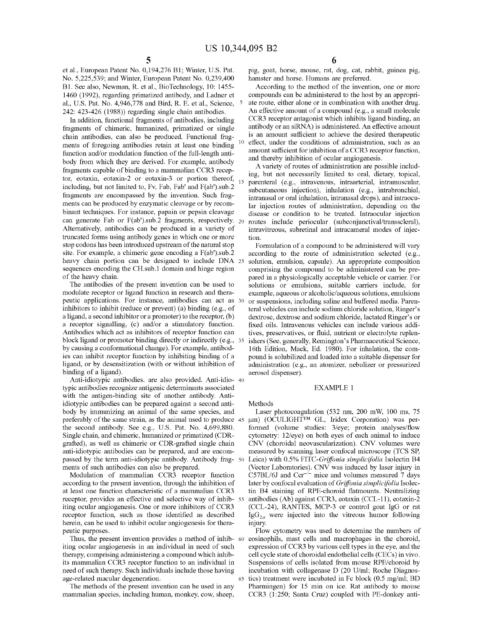et al., European Patent No. 0,194,276 Bl; Winter, U.S. Pat. No. 5,225,539; and Winter, European Patent No. 0,239,400 B1. See also, Newman, R. et al., BioTechnology, 10: 1455-1460 (1992), regarding primatized antibody, and Ladner et al., U.S. Pat. No. 4,946,778 and Bird, R. E. et al., Science, 242: 423-426 (1988)) regarding single chain antibodies.

In addition, functional fragments of antibodies, including fragments of chimeric, humanized, primatized or single chain antibodies, can also be produced. Functional fragments of foregoing antibodies retain at least one binding function and/or modulation function of the full-length antibody from which they are derived. For example, antibody fragments capable of binding to a mammalian CCR3 receptor, eotaxin, eotaxin-2 or eotaxin-3 or portion thereof, including, but not limited to, Fv, Fab, Fab' and F(ab').sub.2 fragments are encompassed by the invention. Such fragments can be produced by enzymatic cleavage or by recombinant techniques. For instance, papain or pepsin cleavage can generate Fab or F(ab').sub.2 fragments, respectively. 20 Alternatively, antibodies can be produced in a variety of truncated forms using antibody genes in which one or more stop codons has been introduced upstream of the natural stop site. For example, a chimeric gene encoding a F(ab').sub.2 heavy chain portion can be designed to include DNA 25 sequences encoding the CH.sub.I domain and hinge region of the heavy chain.

The antibodies of the present invention can be used to modulate receptor or ligand function in research and therapeutic applications. For instance, antibodies can act as inhibitors to inhibit (reduce or prevent) (a) binding (e.g., of a ligand, a second inhibitor or a promoter) to the receptor, (b) a receptor signalling, (c) and/or a stimulatory function. fixed oils. Intravenous vehicles can include various addi-Antibodies which act as inhibitors of receptor function can block ligand or promoter binding directly or indirectly (e.g., 35) by causing a conformational change). For example, antibodies can inhibit receptor function by inhibiting binding of a ligand, or by desensitization (with or without inhibition of binding of a ligand).

Anti-idiotypic antibodies. are also provided. Anti-idio- 40 typic antibodies recognize antigenic determinants associated with the antigen-binding site of another antibody. Antiidiotypic antibodies can be prepared against a second antibody by immunizing an animal of the same species, and preferably of the same strain, as the animal used to produce 45 the second antibody. See e.g., U.S. Pat. No. 4,699,880. Single chain, and chimeric, humanized or primatized (CDRgrafted), as well as chimeric or CDR-grafted single chain anti-idiotypic antibodies can be prepared, and are encompassed by the term anti-idiotypic antibody. Antibody frag- 50 ments of such antibodies can also be prepared.

Modulation of mammalian CCR3 receptor function according to the present invention, through the inhibition of at least one function characteristic of a mammalian CCR3 tin B4 staining of RPE-choroid flatmounts. Neutralizing receptor, provides an effective and selective way of inhibiting ocular angiogenesis. One or more inhibitors of CCR3 receptor function, such as those identified as described herein, can be used to inhibit ocular angiogenesis for therapeutic purposes.

Thus, the present invention provides a method of inhib- 60 iting ocular angiogenesis in an individual in need of such therapy, comprising administering a compound which inhibits mammalian CCR3 receptor function to an individual in need of such therapy. Such individuals include those having age-related macular degeneration.

The methods of the present invention can be used in any mammalian species, including human, monkey, cow, sheep, pig, goat, horse, mouse, rat, dog, cat, rabbit, guinea pig, hamster and horse. Humans are preferred.

According to the method of the invention, one or more compounds can be administered to the host by an appropriate route, either alone or in combination with another drug. An effective amount of a compound (e.g., a small molecule CCR3 receptor antagonist which inhibits ligand binding, an antibody or an siRNA) is administered. An effective amount is an amount sufficient to achieve the desired therapeutic effect, under the conditions of administration, such as an amount sufficient for inhibition of a CCR3 receptor function, and thereby inhibition of ocular angiogenesis.

A variety of routes of administration are possible including, but not necessarily limited to oral, dietary, topical, parenteral (e.g., intravenous, intraarterial, intramuscular, subcutaneous injection), inhalation (e.g., intrabronchial, intranasal or oral inhalation, intranasal drops), and intraocular injection routes of administration, depending on the disease or condition to be treated. Intraocular injection routes include periocular (subconjunctival/transscleral), intravitreous, subretinal and intracameral modes of injection.

Formulation of a compound to be administered will vary according to the route of administration selected (e.g., solution, emulsion, capsule). An appropriate composition comprising the compound to be administered can be prepared in a physiologically acceptable vehicle or carrier. For solutions or emulsions, suitable carriers include, for example, aqueous or alcoholic/aqueous solutions, emulsions or suspensions, including saline and buffered media. Parenteral vehicles can include sodium chloride solution, Ringer's dextrose, dextrose and sodium chloride, lactated Ringer's or tives, preservatives, or fluid, nutrient or electrolyte replenishers (See, generally, Remington's Pharmaceutical Science, 16th Edition, Mack, Ed. 1980). For inhalation, the compound is solubilized and loaded into a suitable dispenser for administration (e.g., an atomizer, nebulizer or pressurized aerosol dispenser).

#### EXAMPLE 1

Methods

Laser photocoagulation (532 nm, 200 mW, 100 ms, 75 µm) (OCULIGHT™ GL, Iridex Corporation) was performed (volume studies: 3/eye; protein analyses/flow cytometry: 12/eye) on both eyes of each animal to induce CNV (choroidal neovascularization). CNV volumes were measured by scanning laser confocal microscope (TCS SP, Leica) with 0.5% *FITC-Griffonia simplicifolia* Isolectin B4 (Vector Laboratories). CNV was induced by laser injury in C57BL/6J and *Ccr-1 -* mice and volumes measured 7 days later by confocal evaluation of *Griffonia simplicifolia* Isolecantibodies (Ab) against CCR3, eotaxin (CCL-11), eotaxin-2 (CCL-24), RANTES, MCP-3 or control goat IgG or rat  $\lg G_{2a}$  were injected into the vitreous humor following injury.

Flow cytometry was used to determine the numbers of eosinophils, mast cells and macrophages in the choroid, expression of CCR3 by various cell types in the eye, and the cell cycle state of choroidal endothelial cells (CECs) in vivo. Suspensions of cells isolated from mouse RPE/choroid by incubation with collagenase D (20 U/ml; Roche Diagnos-65 tics) treatment were incubated in Fe block (0.5 mg/ml; BD Pharmingen) for 15 min on ice. Rat antibody to mouse CCR3 (1:250; Santa Cruz) coupled with PE-donkey anti